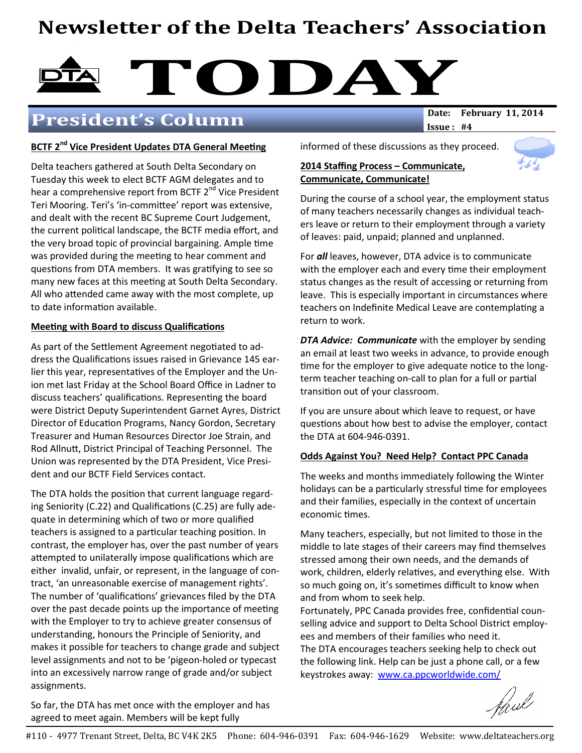# Newsletter of the Delta Teachers' Association

# DAY DATE: February 11, 2014

# President's Column

 $Issue: #4$ 

#### BCTF 2<sup>nd</sup> Vice President Updates DTA General Meeting

Delta teachers gathered at South Delta Secondary on Tuesday this week to elect BCTF AGM delegates and to hear a comprehensive report from BCTF 2<sup>nd</sup> Vice President Teri Mooring. Teri's 'in-committee' report was extensive, and dealt with the recent BC Supreme Court Judgement, the current political landscape, the BCTF media effort, and the very broad topic of provincial bargaining. Ample time was provided during the meeting to hear comment and questions from DTA members. It was gratifying to see so many new faces at this meeting at South Delta Secondary. All who attended came away with the most complete, up to date information available.

#### **Meeting with Board to discuss Qualifications**

As part of the Settlement Agreement negotiated to address the Qualifications issues raised in Grievance 145 earlier this year, representatives of the Employer and the Union met last Friday at the School Board Office in Ladner to discuss teachers' qualifications. Representing the board were District Deputy Superintendent Garnet Ayres, District Director of Education Programs, Nancy Gordon, Secretary Treasurer and Human Resources Director Joe Strain, and Rod Allnutt, District Principal of Teaching Personnel. The Union was represented by the DTA President, Vice President and our BCTF Field Services contact.

The DTA holds the position that current language regarding Seniority (C.22) and Qualifications (C.25) are fully adequate in determining which of two or more qualified teachers is assigned to a particular teaching position. In contrast, the employer has, over the past number of years attempted to unilaterally impose qualifications which are either invalid, unfair, or represent, in the language of contract, 'an unreasonable exercise of management rights'. The number of 'qualifications' grievances filed by the DTA over the past decade points up the importance of meeting with the Employer to try to achieve greater consensus of understanding, honours the Principle of Seniority, and makes it possible for teachers to change grade and subject level assignments and not to be 'pigeon-holed or typecast into an excessively narrow range of grade and/or subject assignments.

informed of these discussions as they proceed.

#### 2014 Staffing Process – Communicate, Communicate, Communicate!



During the course of a school year, the employment status of many teachers necessarily changes as individual teachers leave or return to their employment through a variety of leaves: paid, unpaid; planned and unplanned.

For all leaves, however, DTA advice is to communicate with the employer each and every time their employment status changes as the result of accessing or returning from leave. This is especially important in circumstances where teachers on Indefinite Medical Leave are contemplating a return to work.

DTA Advice: Communicate with the employer by sending an email at least two weeks in advance, to provide enough time for the employer to give adequate notice to the longterm teacher teaching on-call to plan for a full or partial transition out of your classroom.

If you are unsure about which leave to request, or have questions about how best to advise the employer, contact the DTA at 604-946-0391.

#### Odds Against You? Need Help? Contact PPC Canada

The weeks and months immediately following the Winter holidays can be a particularly stressful time for employees and their families, especially in the context of uncertain economic times.

Many teachers, especially, but not limited to those in the middle to late stages of their careers may find themselves stressed among their own needs, and the demands of work, children, elderly relatives, and everything else. With so much going on, it's sometimes difficult to know when and from whom to seek help.

Fortunately, PPC Canada provides free, confidential counselling advice and support to Delta School District employees and members of their families who need it.

The DTA encourages teachers seeking help to check out the following link. Help can be just a phone call, or a few keystrokes away: www.ca.ppcworldwide.com/

faul

So far, the DTA has met once with the employer and has agreed to meet again. Members will be kept fully